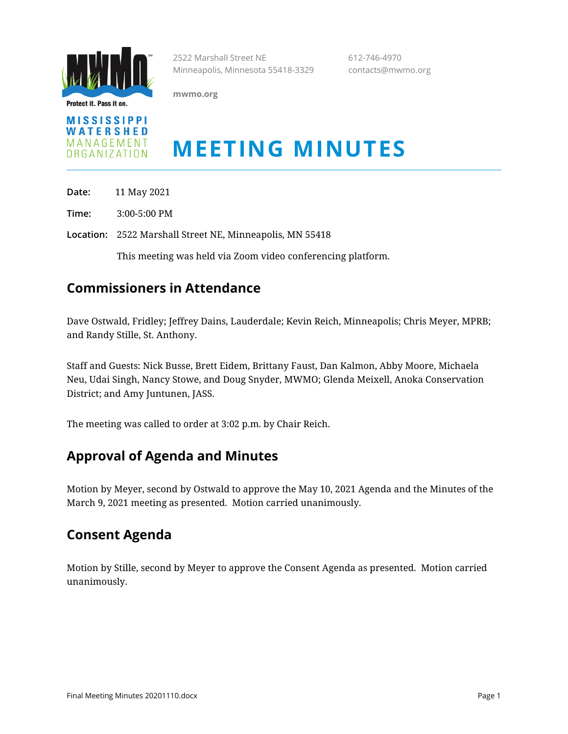

Protect it. Pass it on.

2522 Marshall Street NE 612-746-4970 Minneapolis, Minnesota 55418-3329 contacts@mwmo.org

**mwmo.org**



# **MEETING MINUTES**

**Date:** 11 May 2021

**Time:** 3:00-5:00 PM

**Location:** 2522 Marshall Street NE, Minneapolis, MN 55418

This meeting was held via Zoom video conferencing platform.

## **Commissioners in Attendance**

Dave Ostwald, Fridley; Jeffrey Dains, Lauderdale; Kevin Reich, Minneapolis; Chris Meyer, MPRB; and Randy Stille, St. Anthony.

Staff and Guests: Nick Busse, Brett Eidem, Brittany Faust, Dan Kalmon, Abby Moore, Michaela Neu, Udai Singh, Nancy Stowe, and Doug Snyder, MWMO; Glenda Meixell, Anoka Conservation District; and Amy Juntunen, JASS.

The meeting was called to order at 3:02 p.m. by Chair Reich.

## **Approval of Agenda and Minutes**

Motion by Meyer, second by Ostwald to approve the May 10, 2021 Agenda and the Minutes of the March 9, 2021 meeting as presented. Motion carried unanimously.

#### **Consent Agenda**

Motion by Stille, second by Meyer to approve the Consent Agenda as presented. Motion carried unanimously.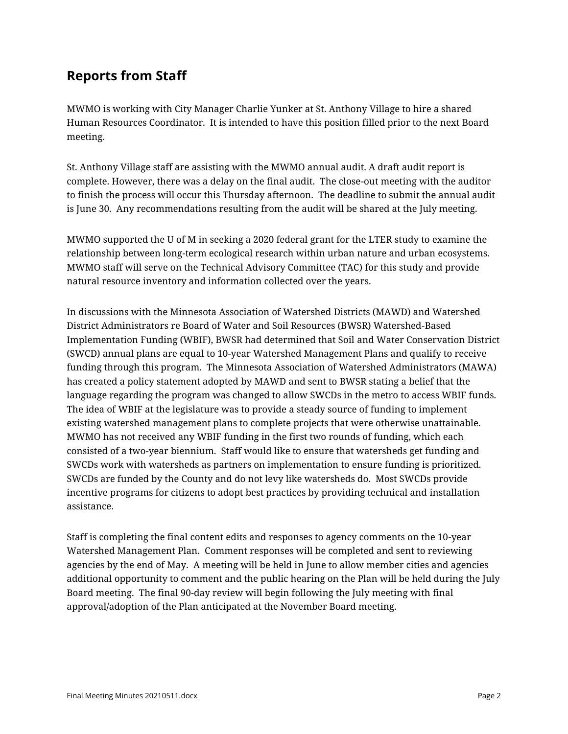## **Reports from Staff**

MWMO is working with City Manager Charlie Yunker at St. Anthony Village to hire a shared Human Resources Coordinator. It is intended to have this position filled prior to the next Board meeting.

St. Anthony Village staff are assisting with the MWMO annual audit. A draft audit report is complete. However, there was a delay on the final audit. The close-out meeting with the auditor to finish the process will occur this Thursday afternoon. The deadline to submit the annual audit is June 30. Any recommendations resulting from the audit will be shared at the July meeting.

MWMO supported the U of M in seeking a 2020 federal grant for the LTER study to examine the relationship between long-term ecological research within urban nature and urban ecosystems. MWMO staff will serve on the Technical Advisory Committee (TAC) for this study and provide natural resource inventory and information collected over the years.

In discussions with the Minnesota Association of Watershed Districts (MAWD) and Watershed District Administrators re Board of Water and Soil Resources (BWSR) Watershed-Based Implementation Funding (WBIF), BWSR had determined that Soil and Water Conservation District (SWCD) annual plans are equal to 10-year Watershed Management Plans and qualify to receive funding through this program. The Minnesota Association of Watershed Administrators (MAWA) has created a policy statement adopted by MAWD and sent to BWSR stating a belief that the language regarding the program was changed to allow SWCDs in the metro to access WBIF funds. The idea of WBIF at the legislature was to provide a steady source of funding to implement existing watershed management plans to complete projects that were otherwise unattainable. MWMO has not received any WBIF funding in the first two rounds of funding, which each consisted of a two-year biennium. Staff would like to ensure that watersheds get funding and SWCDs work with watersheds as partners on implementation to ensure funding is prioritized. SWCDs are funded by the County and do not levy like watersheds do. Most SWCDs provide incentive programs for citizens to adopt best practices by providing technical and installation assistance.

Staff is completing the final content edits and responses to agency comments on the 10-year Watershed Management Plan. Comment responses will be completed and sent to reviewing agencies by the end of May. A meeting will be held in June to allow member cities and agencies additional opportunity to comment and the public hearing on the Plan will be held during the July Board meeting. The final 90-day review will begin following the July meeting with final approval/adoption of the Plan anticipated at the November Board meeting.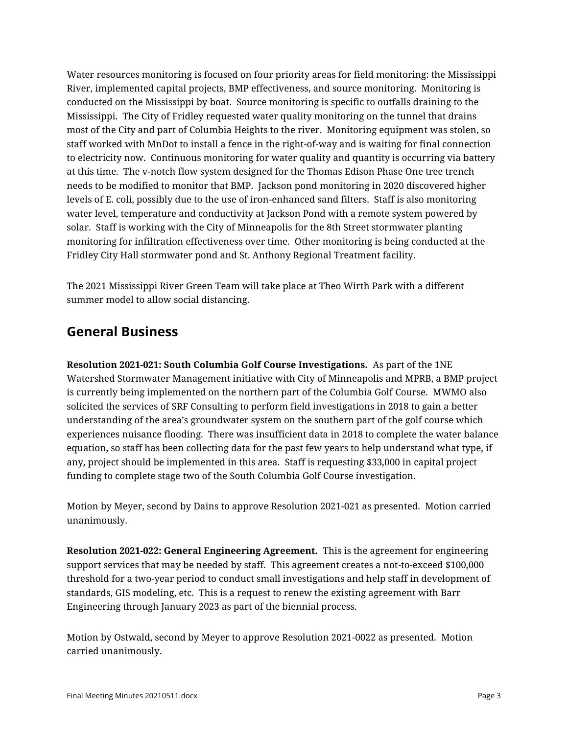Water resources monitoring is focused on four priority areas for field monitoring: the Mississippi River, implemented capital projects, BMP effectiveness, and source monitoring. Monitoring is conducted on the Mississippi by boat. Source monitoring is specific to outfalls draining to the Mississippi. The City of Fridley requested water quality monitoring on the tunnel that drains most of the City and part of Columbia Heights to the river. Monitoring equipment was stolen, so staff worked with MnDot to install a fence in the right-of-way and is waiting for final connection to electricity now. Continuous monitoring for water quality and quantity is occurring via battery at this time. The v-notch flow system designed for the Thomas Edison Phase One tree trench needs to be modified to monitor that BMP. Jackson pond monitoring in 2020 discovered higher levels of E. coli, possibly due to the use of iron-enhanced sand filters. Staff is also monitoring water level, temperature and conductivity at Jackson Pond with a remote system powered by solar. Staff is working with the City of Minneapolis for the 8th Street stormwater planting monitoring for infiltration effectiveness over time. Other monitoring is being conducted at the Fridley City Hall stormwater pond and St. Anthony Regional Treatment facility.

The 2021 Mississippi River Green Team will take place at Theo Wirth Park with a different summer model to allow social distancing.

#### **General Business**

**Resolution 2021-021: South Columbia Golf Course Investigations.** As part of the 1NE Watershed Stormwater Management initiative with City of Minneapolis and MPRB, a BMP project is currently being implemented on the northern part of the Columbia Golf Course. MWMO also solicited the services of SRF Consulting to perform field investigations in 2018 to gain a better understanding of the area's groundwater system on the southern part of the golf course which experiences nuisance flooding. There was insufficient data in 2018 to complete the water balance equation, so staff has been collecting data for the past few years to help understand what type, if any, project should be implemented in this area. Staff is requesting \$33,000 in capital project funding to complete stage two of the South Columbia Golf Course investigation.

Motion by Meyer, second by Dains to approve Resolution 2021-021 as presented. Motion carried unanimously.

**Resolution 2021-022: General Engineering Agreement.** This is the agreement for engineering support services that may be needed by staff. This agreement creates a not-to-exceed \$100,000 threshold for a two-year period to conduct small investigations and help staff in development of standards, GIS modeling, etc. This is a request to renew the existing agreement with Barr Engineering through January 2023 as part of the biennial process.

Motion by Ostwald, second by Meyer to approve Resolution 2021-0022 as presented. Motion carried unanimously.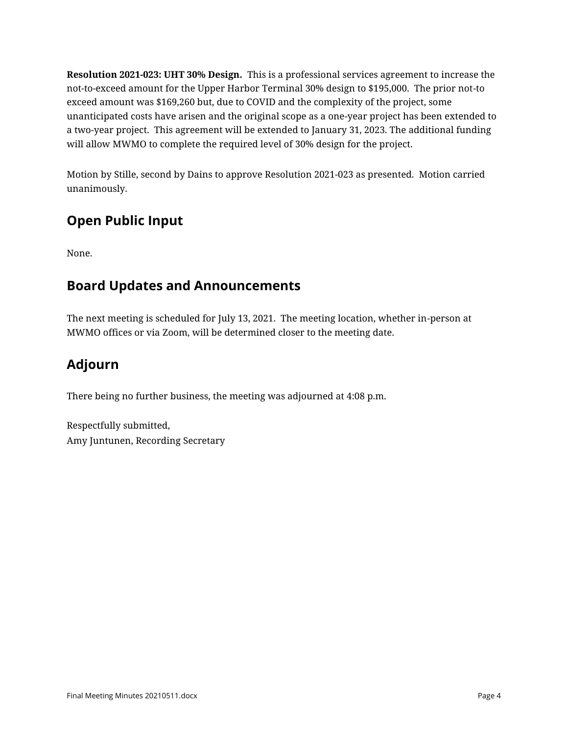**Resolution 2021-023: UHT 30% Design.** This is a professional services agreement to increase the not-to-exceed amount for the Upper Harbor Terminal 30% design to \$195,000. The prior not-to exceed amount was \$169,260 but, due to COVID and the complexity of the project, some unanticipated costs have arisen and the original scope as a one-year project has been extended to a two-year project. This agreement will be extended to January 31, 2023. The additional funding will allow MWMO to complete the required level of 30% design for the project.

Motion by Stille, second by Dains to approve Resolution 2021-023 as presented. Motion carried unanimously.

## **Open Public Input**

None.

## **Board Updates and Announcements**

The next meeting is scheduled for July 13, 2021. The meeting location, whether in-person at MWMO offices or via Zoom, will be determined closer to the meeting date.

## **Adjourn**

There being no further business, the meeting was adjourned at 4:08 p.m.

Respectfully submitted, Amy Juntunen, Recording Secretary